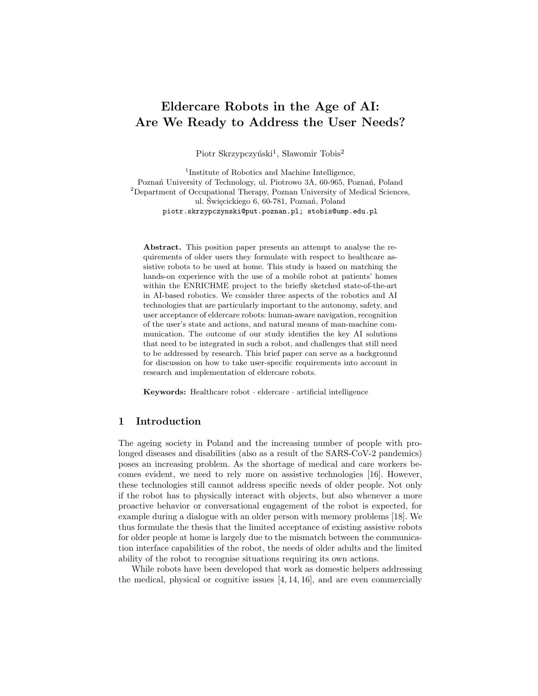# Eldercare Robots in the Age of AI: Are We Ready to Address the User Needs?

Piotr Skrzypczyński<sup>1</sup>, Sławomir Tobis<sup>2</sup>

<sup>1</sup>Institute of Robotics and Machine Intelligence, Poznań University of Technology, ul. Piotrowo 3A, 60-965, Poznań, Poland <sup>2</sup>Department of Occupational Therapy, Poznan University of Medical Sciences, ul. Święcickiego 6, 60-781, Poznań, Poland piotr.skrzypczynski@put.poznan.pl; stobis@ump.edu.pl

Abstract. This position paper presents an attempt to analyse the requirements of older users they formulate with respect to healthcare assistive robots to be used at home. This study is based on matching the hands-on experience with the use of a mobile robot at patients' homes within the ENRICHME project to the briefly sketched state-of-the-art in AI-based robotics. We consider three aspects of the robotics and AI technologies that are particularly important to the autonomy, safety, and user acceptance of eldercare robots: human-aware navigation, recognition of the user's state and actions, and natural means of man-machine communication. The outcome of our study identifies the key AI solutions that need to be integrated in such a robot, and challenges that still need to be addressed by research. This brief paper can serve as a background for discussion on how to take user-specific requirements into account in research and implementation of eldercare robots.

Keywords: Healthcare robot · eldercare · artificial intelligence

# 1 Introduction

The ageing society in Poland and the increasing number of people with prolonged diseases and disabilities (also as a result of the SARS-CoV-2 pandemics) poses an increasing problem. As the shortage of medical and care workers becomes evident, we need to rely more on assistive technologies [16]. However, these technologies still cannot address specific needs of older people. Not only if the robot has to physically interact with objects, but also whenever a more proactive behavior or conversational engagement of the robot is expected, for example during a dialogue with an older person with memory problems [18]. We thus formulate the thesis that the limited acceptance of existing assistive robots for older people at home is largely due to the mismatch between the communication interface capabilities of the robot, the needs of older adults and the limited ability of the robot to recognise situations requiring its own actions.

While robots have been developed that work as domestic helpers addressing the medical, physical or cognitive issues [4, 14, 16], and are even commercially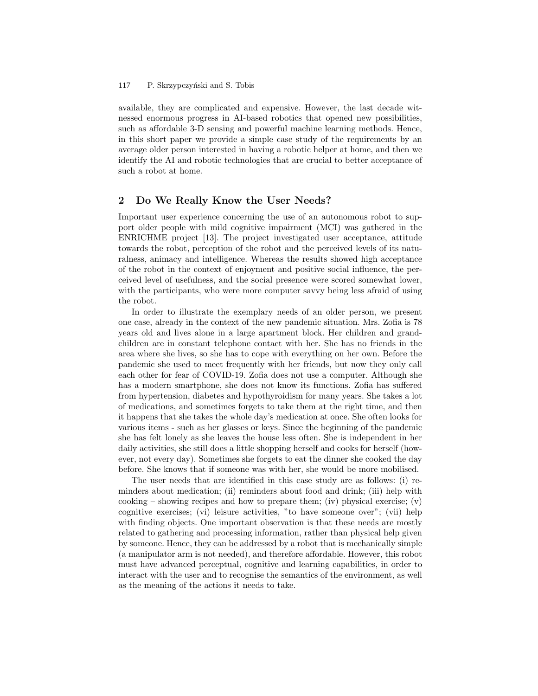#### P. Skrzypczyński and S. Tobis 117

available, they are complicated and expensive. However, the last decade witnessed enormous progress in AI-based robotics that opened new possibilities, such as affordable 3-D sensing and powerful machine learning methods. Hence, in this short paper we provide a simple case study of the requirements by an average older person interested in having a robotic helper at home, and then we identify the AI and robotic technologies that are crucial to better acceptance of such a robot at home.

# 2 Do We Really Know the User Needs?

Important user experience concerning the use of an autonomous robot to support older people with mild cognitive impairment (MCI) was gathered in the ENRICHME project [13]. The project investigated user acceptance, attitude towards the robot, perception of the robot and the perceived levels of its naturalness, animacy and intelligence. Whereas the results showed high acceptance of the robot in the context of enjoyment and positive social influence, the perceived level of usefulness, and the social presence were scored somewhat lower, with the participants, who were more computer savvy being less afraid of using the robot.

In order to illustrate the exemplary needs of an older person, we present one case, already in the context of the new pandemic situation. Mrs. Zofia is 78 years old and lives alone in a large apartment block. Her children and grandchildren are in constant telephone contact with her. She has no friends in the area where she lives, so she has to cope with everything on her own. Before the pandemic she used to meet frequently with her friends, but now they only call each other for fear of COVID-19. Zofia does not use a computer. Although she has a modern smartphone, she does not know its functions. Zofia has suffered from hypertension, diabetes and hypothyroidism for many years. She takes a lot of medications, and sometimes forgets to take them at the right time, and then it happens that she takes the whole day's medication at once. She often looks for various items - such as her glasses or keys. Since the beginning of the pandemic she has felt lonely as she leaves the house less often. She is independent in her daily activities, she still does a little shopping herself and cooks for herself (however, not every day). Sometimes she forgets to eat the dinner she cooked the day before. She knows that if someone was with her, she would be more mobilised.

The user needs that are identified in this case study are as follows: (i) reminders about medication; (ii) reminders about food and drink; (iii) help with cooking – showing recipes and how to prepare them; (iv) physical exercise; (v) cognitive exercises; (vi) leisure activities, "to have someone over"; (vii) help with finding objects. One important observation is that these needs are mostly related to gathering and processing information, rather than physical help given by someone. Hence, they can be addressed by a robot that is mechanically simple (a manipulator arm is not needed), and therefore affordable. However, this robot must have advanced perceptual, cognitive and learning capabilities, in order to interact with the user and to recognise the semantics of the environment, as well as the meaning of the actions it needs to take.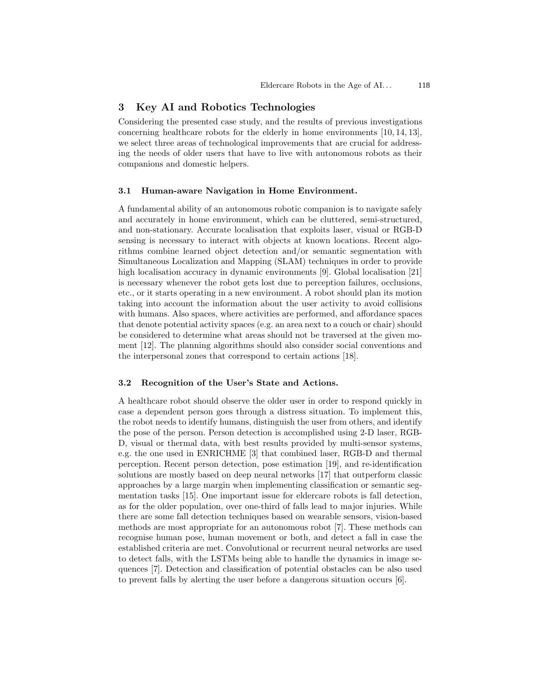# 3 Key AI and Robotics Technologies

Considering the presented case study, and the results of previous investigations concerning healthcare robots for the elderly in home environments [10, 14, 13], we select three areas of technological improvements that are crucial for addressing the needs of older users that have to live with autonomous robots as their companions and domestic helpers.

### 3.1 Human-aware Navigation in Home Environment.

A fundamental ability of an autonomous robotic companion is to navigate safely and accurately in home environment, which can be cluttered, semi-structured, and non-stationary. Accurate localisation that exploits laser, visual or RGB-D sensing is necessary to interact with objects at known locations. Recent algorithms combine learned object detection and/or semantic segmentation with Simultaneous Localization and Mapping (SLAM) techniques in order to provide high localisation accuracy in dynamic environments [9]. Global localisation [21] is necessary whenever the robot gets lost due to perception failures, occlusions, etc., or it starts operating in a new environment. A robot should plan its motion taking into account the information about the user activity to avoid collisions with humans. Also spaces, where activities are performed, and affordance spaces that denote potential activity spaces (e.g. an area next to a couch or chair) should be considered to determine what areas should not be traversed at the given moment [12]. The planning algorithms should also consider social conventions and the interpersonal zones that correspond to certain actions [18].

### 3.2 Recognition of the User's State and Actions.

A healthcare robot should observe the older user in order to respond quickly in case a dependent person goes through a distress situation. To implement this, the robot needs to identify humans, distinguish the user from others, and identify the pose of the person. Person detection is accomplished using 2-D laser, RGB-D, visual or thermal data, with best results provided by multi-sensor systems, e.g. the one used in ENRICHME [3] that combined laser, RGB-D and thermal perception. Recent person detection, pose estimation [19], and re-identification solutions are mostly based on deep neural networks [17] that outperform classic approaches by a large margin when implementing classification or semantic segmentation tasks [15]. One important issue for eldercare robots is fall detection, as for the older population, over one-third of falls lead to major injuries. While there are some fall detection techniques based on wearable sensors, vision-based methods are most appropriate for an autonomous robot [7]. These methods can recognise human pose, human movement or both, and detect a fall in case the established criteria are met. Convolutional or recurrent neural networks are used to detect falls, with the LSTMs being able to handle the dynamics in image sequences [7]. Detection and classification of potential obstacles can be also used to prevent falls by alerting the user before a dangerous situation occurs [6].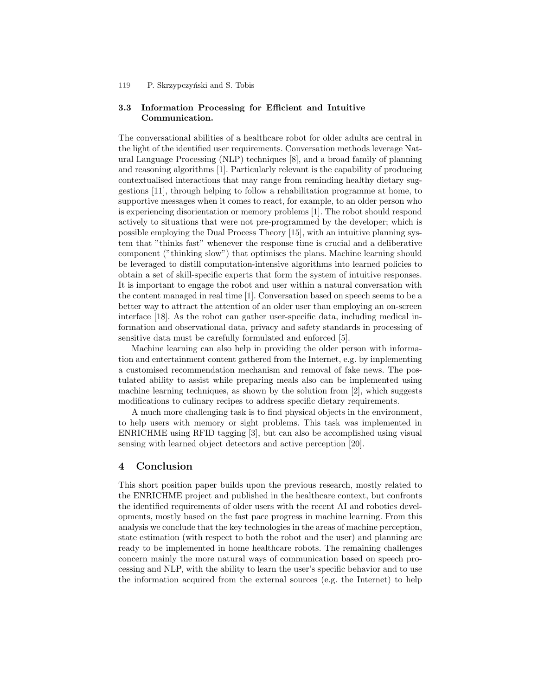#### P. Skrzypczyński and S. Tobis 119

# 3.3 Information Processing for Efficient and Intuitive Communication.

The conversational abilities of a healthcare robot for older adults are central in the light of the identified user requirements. Conversation methods leverage Natural Language Processing (NLP) techniques [8], and a broad family of planning and reasoning algorithms [1]. Particularly relevant is the capability of producing contextualised interactions that may range from reminding healthy dietary suggestions [11], through helping to follow a rehabilitation programme at home, to supportive messages when it comes to react, for example, to an older person who is experiencing disorientation or memory problems [1]. The robot should respond actively to situations that were not pre-programmed by the developer; which is possible employing the Dual Process Theory [15], with an intuitive planning system that "thinks fast" whenever the response time is crucial and a deliberative component ("thinking slow") that optimises the plans. Machine learning should be leveraged to distill computation-intensive algorithms into learned policies to obtain a set of skill-specific experts that form the system of intuitive responses. It is important to engage the robot and user within a natural conversation with the content managed in real time [1]. Conversation based on speech seems to be a better way to attract the attention of an older user than employing an on-screen interface [18]. As the robot can gather user-specific data, including medical information and observational data, privacy and safety standards in processing of sensitive data must be carefully formulated and enforced [5].

Machine learning can also help in providing the older person with information and entertainment content gathered from the Internet, e.g. by implementing a customised recommendation mechanism and removal of fake news. The postulated ability to assist while preparing meals also can be implemented using machine learning techniques, as shown by the solution from [2], which suggests modifications to culinary recipes to address specific dietary requirements.

A much more challenging task is to find physical objects in the environment, to help users with memory or sight problems. This task was implemented in ENRICHME using RFID tagging [3], but can also be accomplished using visual sensing with learned object detectors and active perception [20].

# 4 Conclusion

This short position paper builds upon the previous research, mostly related to the ENRICHME project and published in the healthcare context, but confronts the identified requirements of older users with the recent AI and robotics developments, mostly based on the fast pace progress in machine learning. From this analysis we conclude that the key technologies in the areas of machine perception, state estimation (with respect to both the robot and the user) and planning are ready to be implemented in home healthcare robots. The remaining challenges concern mainly the more natural ways of communication based on speech processing and NLP, with the ability to learn the user's specific behavior and to use the information acquired from the external sources (e.g. the Internet) to help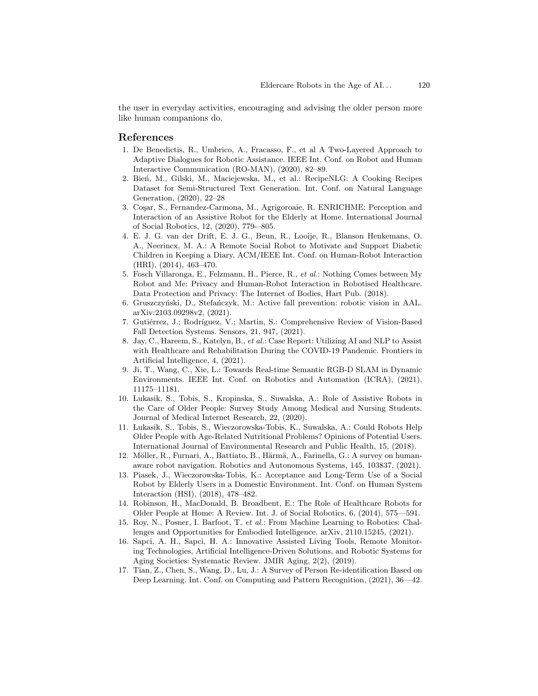the user in everyday activities, encouraging and advising the older person more like human companions do.

### References

- 1. De Benedictis, R., Umbrico, A., Fracasso, F., et al A Two-Layered Approach to Adaptive Dialogues for Robotic Assistance. IEEE Int. Conf. on Robot and Human Interactive Communication (RO-MAN), (2020), 82–89.
- 2. Bień, M., Gilski, M., Maciejewska, M., et al.: RecipeNLG: A Cooking Recipes Dataset for Semi-Structured Text Generation. Int. Conf. on Natural Language Generation, (2020), 22–28
- 3. Coşar, S., Fernandez-Carmona, M., Agrigoroaie, R. ENRICHME: Perception and Interaction of an Assistive Robot for the Elderly at Home. International Journal of Social Robotics, 12, (2020), 779-–805.
- 4. E. J. G. van der Drift, E. J. G., Beun, R., Looije, R., Blanson Henkemans, O. A., Neerincx, M. A.: A Remote Social Robot to Motivate and Support Diabetic Children in Keeping a Diary, ACM/IEEE Int. Conf. on Human-Robot Interaction (HRI), (2014), 463–470.
- 5. Fosch Villaronga, E., Felzmann, H., Pierce, R., et al.: Nothing Comes between My Robot and Me: Privacy and Human-Robot Interaction in Robotised Healthcare. Data Protection and Privacy: The Internet of Bodies, Hart Pub. (2018).
- 6. Gruszczyński, D., Stefańczyk, M.: Active fall prevention: robotic vision in AAL. arXiv:2103.09298v2, (2021).
- 7. Gutiérrez, J.; Rodríguez, V.; Martin, S.: Comprehensive Review of Vision-Based Fall Detection Systems. Sensors, 21, 947, (2021).
- 8. Jay, C., Hareem, S., Katelyn, B., et al.: Case Report: Utilizing AI and NLP to Assist with Healthcare and Rehabilitation During the COVID-19 Pandemic. Frontiers in Artificial Intelligence, 4, (2021).
- 9. Ji, T., Wang, C., Xie, L.: Towards Real-time Semantic RGB-D SLAM in Dynamic Environments. IEEE Int. Conf. on Robotics and Automation (ICRA), (2021), 11175–11181.
- 10. Lukasik, S., Tobis, S., Kropinska, S., Suwalska, A.: Role of Assistive Robots in the Care of Older People: Survey Study Among Medical and Nursing Students. Journal of Medical Internet Research, 22, (2020).
- 11. Lukasik, S., Tobis, S., Wieczorowska-Tobis, K., Suwalska, A.: Could Robots Help Older People with Age-Related Nutritional Problems? Opinions of Potential Users. International Journal of Environmental Research and Public Health, 15, (2018).
- 12. Möller, R., Furnari, A., Battiato, B., Härmä, A., Farinella, G.: A survey on humanaware robot navigation. Robotics and Autonomous Systems, 145, 103837, (2021).
- 13. Piasek, J., Wieczorowska-Tobis, K.: Acceptance and Long-Term Use of a Social Robot by Elderly Users in a Domestic Environment. Int. Conf. on Human System Interaction (HSI), (2018), 478–482.
- 14. Robinson, H., MacDonald, B. Broadbent, E.: The Role of Healthcare Robots for Older People at Home: A Review. Int. J. of Social Robotics, 6, (2014), 575—591.
- 15. Roy, N., Posner, I. Barfoot, T, et al.: From Machine Learning to Robotics: Challenges and Opportunities for Embodied Intelligence. arXiv, 2110.15245, (2021).
- 16. Sapci, A. H., Sapci, H. A.: Innovative Assisted Living Tools, Remote Monitoring Technologies, Artificial Intelligence-Driven Solutions, and Robotic Systems for Aging Societies: Systematic Review. JMIR Aging, 2(2), (2019).
- 17. Tian, Z., Chen, S., Wang, D., Lu, J.: A Survey of Person Re-identification Based on Deep Learning. Int. Conf. on Computing and Pattern Recognition, (2021), 36—42.